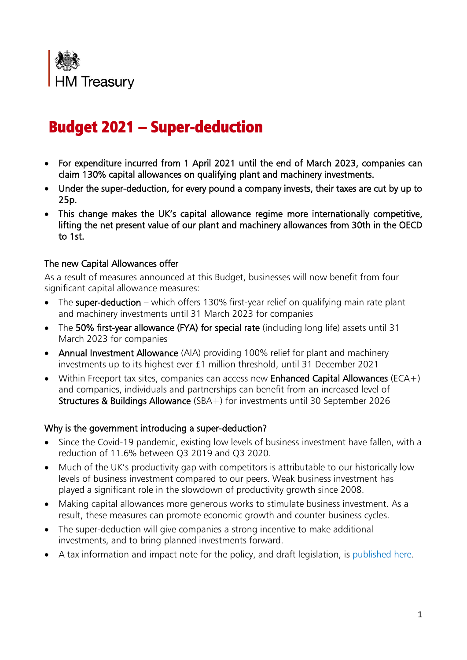

# Budget 2021 – Super-deduction

- For expenditure incurred from 1 April 2021 until the end of March 2023, companies can claim 130% capital allowances on qualifying plant and machinery investments.
- Under the super-deduction, for every pound a company invests, their taxes are cut by up to 25p.
- This change makes the UK's capital allowance regime more internationally competitive, lifting the net present value of our plant and machinery allowances from 30th in the OECD to 1st.

## The new Capital Allowances offer

As a result of measures announced at this Budget, businesses will now benefit from four significant capital allowance measures:

- The super-deduction which offers 130% first-year relief on qualifying main rate plant and machinery investments until 31 March 2023 for companies
- The 50% first-year allowance (FYA) for special rate (including long life) assets until 31 March 2023 for companies
- Annual Investment Allowance (AIA) providing 100% relief for plant and machinery investments up to its highest ever £1 million threshold, until 31 December 2021
- Within Freeport tax sites, companies can access new Enhanced Capital Allowances (ECA+) and companies, individuals and partnerships can benefit from an increased level of Structures & Buildings Allowance (SBA+) for investments until 30 September 2026

## Why is the government introducing a super-deduction?

- Since the Covid-19 pandemic, existing low levels of business investment have fallen, with a reduction of 11.6% between Q3 2019 and Q3 2020.
- Much of the UK's productivity gap with competitors is attributable to our historically low levels of business investment compared to our peers. Weak business investment has played a significant role in the slowdown of productivity growth since 2008.
- Making capital allowances more generous works to stimulate business investment. As a result, these measures can promote economic growth and counter business cycles.
- The super-deduction will give companies a strong incentive to make additional investments, and to bring planned investments forward.
- A tax information and impact note for the policy, and draft legislation, is [published here.](https://www.gov.uk/government/publications/new-temporary-tax-reliefs-on-qualifying-capital-asset-investments-from-1-april-2021)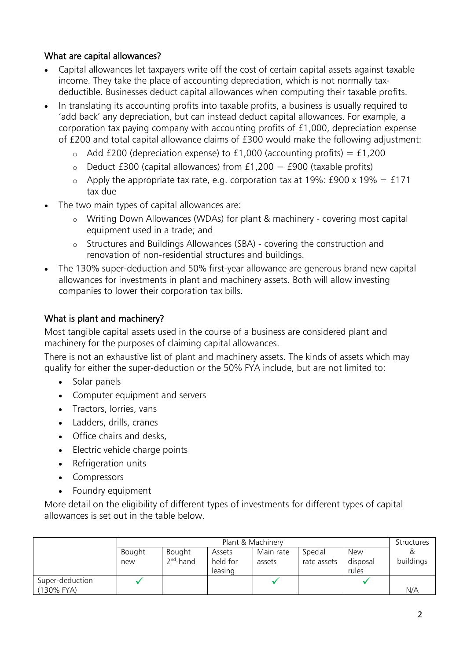## What are capital allowances?

- Capital allowances let taxpayers write off the cost of certain capital assets against taxable income. They take the place of accounting depreciation, which is not normally taxdeductible. Businesses deduct capital allowances when computing their taxable profits.
- In translating its accounting profits into taxable profits, a business is usually required to 'add back' any depreciation, but can instead deduct capital allowances. For example, a corporation tax paying company with accounting profits of £1,000, depreciation expense of £200 and total capital allowance claims of £300 would make the following adjustment:
	- $\circ$  Add £200 (depreciation expense) to £1,000 (accounting profits) = £1,200
	- $\circ$  Deduct £300 (capital allowances) from £1,200 = £900 (taxable profits)
	- $\circ$  Apply the appropriate tax rate, e.g. corporation tax at 19%: £900 x 19% = £171 tax due
- The two main types of capital allowances are:
	- o Writing Down Allowances (WDAs) for plant & machinery covering most capital equipment used in a trade; and
	- o Structures and Buildings Allowances (SBA) covering the construction and renovation of non-residential structures and buildings.
- The 130% super-deduction and 50% first-year allowance are generous brand new capital allowances for investments in plant and machinery assets. Both will allow investing companies to lower their corporation tax bills.

# What is plant and machinery?

Most tangible capital assets used in the course of a business are considered plant and machinery for the purposes of claiming capital allowances.

There is not an exhaustive list of plant and machinery assets. The kinds of assets which may qualify for either the super-deduction or the 50% FYA include, but are not limited to:

- Solar panels
- Computer equipment and servers
- Tractors, lorries, vans
- Ladders, drills, cranes
- Office chairs and desks,
- Electric vehicle charge points
- Refrigeration units
- Compressors
- Foundry equipment

More detail on the eligibility of different types of investments for different types of capital allowances is set out in the table below.

|                               | Plant & Machinery |                       |                               |                     |                        |                                 | <b>Structures</b> |
|-------------------------------|-------------------|-----------------------|-------------------------------|---------------------|------------------------|---------------------------------|-------------------|
|                               | Bought<br>new     | Bought<br>$2nd$ -hand | Assets<br>held for<br>leasing | Main rate<br>assets | Special<br>rate assets | <b>New</b><br>disposal<br>rules | buildings         |
| Super-deduction<br>(130% FYA) |                   |                       |                               |                     |                        |                                 | N/A               |